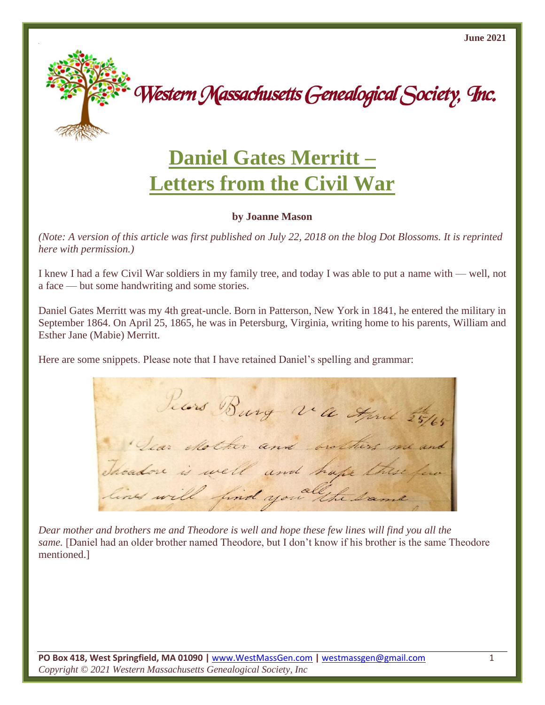

Western Massachusetts Genealogical Society, Inc.

## **Daniel Gates Merritt – Letters from the Civil War**

## **by Joanne Mason**

*(Note: A version of this article was first published on July 22, 2018 on the blog Dot Blossoms. It is reprinted here with permission.)*

I knew I had a few Civil War soldiers in my family tree, and today I was able to put a name with — well, not a face — but some handwriting and some stories.

Daniel Gates Merritt was my 4th great-uncle. Born in Patterson, New York in 1841, he entered the military in September 1864. On April 25, 1865, he was in Petersburg, Virginia, writing home to his parents, William and Esther Jane (Mabie) Merritt.

Here are some snippets. Please note that I have retained Daniel's spelling and grammar:

Jelors Burg va April 25/65 " Lear exother and brothers me and Theadon is well and hape these lines will find you the same

*Dear mother and brothers me and Theodore is well and hope these few lines will find you all the same.* [Daniel had an older brother named Theodore, but I don't know if his brother is the same Theodore mentioned.]